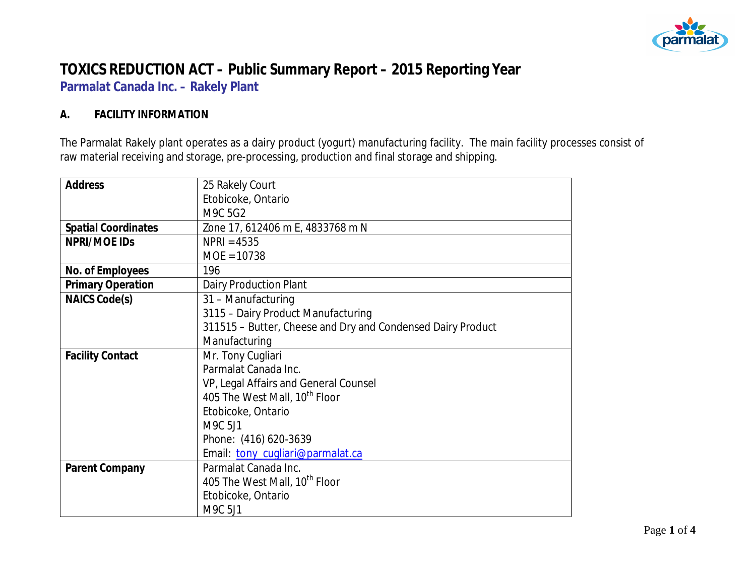

# **TOXICS REDUCTION ACT – Public Summary Report – 2015 Reporting Year Parmalat Canada Inc. – Rakely Plant**

#### **A. FACILITY INFORMATION**

The Parmalat Rakely plant operates as a dairy product (yogurt) manufacturing facility. The main facility processes consist of raw material receiving and storage, pre-processing, production and final storage and shipping.

| <b>Address</b>             | 25 Rakely Court                                             |  |  |
|----------------------------|-------------------------------------------------------------|--|--|
|                            | Etobicoke, Ontario                                          |  |  |
|                            | M9C 5G2                                                     |  |  |
| <b>Spatial Coordinates</b> | Zone 17, 612406 m E, 4833768 m N                            |  |  |
| NPRI/MOE IDs               | $NPRI = 4535$                                               |  |  |
|                            | $MOE = 10738$                                               |  |  |
| No. of Employees           | 196                                                         |  |  |
| <b>Primary Operation</b>   | Dairy Production Plant                                      |  |  |
| NAICS Code(s)              | 31 - Manufacturing                                          |  |  |
|                            | 3115 - Dairy Product Manufacturing                          |  |  |
|                            | 311515 - Butter, Cheese and Dry and Condensed Dairy Product |  |  |
|                            | Manufacturing                                               |  |  |
| <b>Facility Contact</b>    | Mr. Tony Cugliari                                           |  |  |
|                            | Parmalat Canada Inc.                                        |  |  |
|                            | VP, Legal Affairs and General Counsel                       |  |  |
|                            | 405 The West Mall, 10 <sup>th</sup> Floor                   |  |  |
|                            | Etobicoke, Ontario                                          |  |  |
|                            | M9C 5J1                                                     |  |  |
|                            | Phone: (416) 620-3639                                       |  |  |
|                            | Email: tony_cugliari@parmalat.ca                            |  |  |
| Parent Company             | Parmalat Canada Inc.                                        |  |  |
|                            | 405 The West Mall, 10 <sup>th</sup> Floor                   |  |  |
|                            | Etobicoke, Ontario                                          |  |  |
|                            | M9C 5J1                                                     |  |  |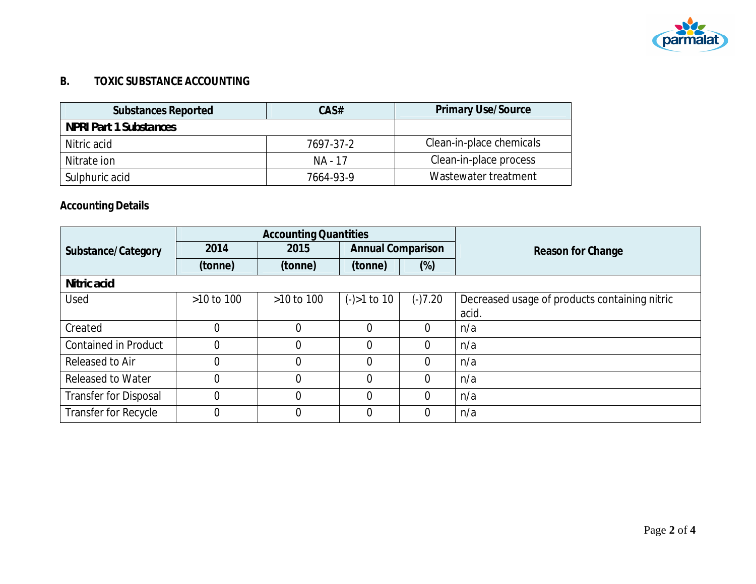

### **B. TOXIC SUBSTANCE ACCOUNTING**

| <b>Substances Reported</b>    | CAS#      | <b>Primary Use/Source</b> |
|-------------------------------|-----------|---------------------------|
| <b>NPRI Part 1 Substances</b> |           |                           |
| Nitric acid                   | 7697-37-2 | Clean-in-place chemicals  |
| Nitrate ion                   | NA - 17   | Clean-in-place process    |
| Sulphuric acid                | 7664-93-9 | Wastewater treatment      |

## **Accounting Details**

|                              | <b>Accounting Quantities</b> |                |                          |                |                                               |
|------------------------------|------------------------------|----------------|--------------------------|----------------|-----------------------------------------------|
| Substance/Category           | 2014                         | 2015           | <b>Annual Comparison</b> |                | Reason for Change                             |
|                              | (tonne)                      | (tonne)        | (tonne)                  | $(\%)$         |                                               |
| Nitric acid                  |                              |                |                          |                |                                               |
| Used                         | $>10$ to 100                 | $>10$ to $100$ | $(-) > 1$ to 10          | $(-)7.20$      | Decreased usage of products containing nitric |
|                              |                              |                |                          |                | acid.                                         |
| Created                      |                              | $\Omega$       | $\overline{0}$           | $\Omega$       | n/a                                           |
| <b>Contained in Product</b>  | 0                            | $\Omega$       | 0                        | $\Omega$       | n/a                                           |
| Released to Air              | 0                            | 0              | $\overline{0}$           | $\theta$       | n/a                                           |
| <b>Released to Water</b>     | $\overline{0}$               | $\overline{0}$ | $\overline{0}$           | $\overline{0}$ | n/a                                           |
| <b>Transfer for Disposal</b> | $\overline{0}$               | $\Omega$       | $\Omega$                 | $\Omega$       | n/a                                           |
| Transfer for Recycle         | $\overline{0}$               | $\Omega$       | $\Omega$                 | $\Omega$       | n/a                                           |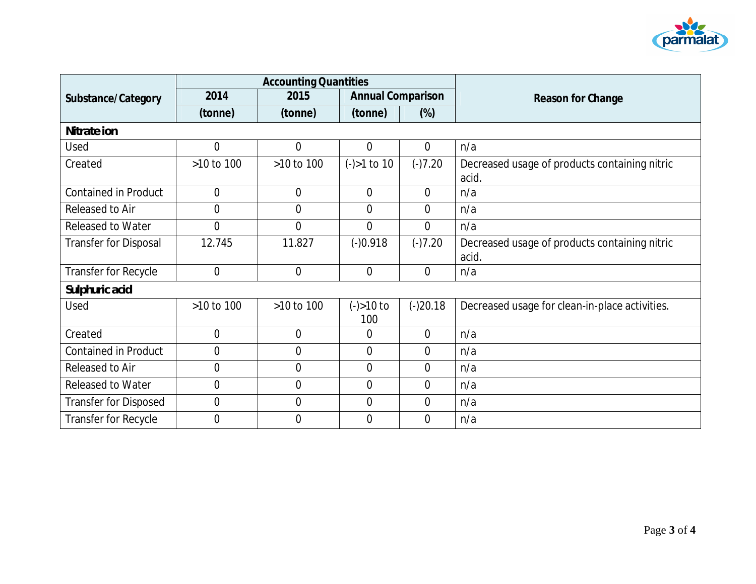

|                              | <b>Accounting Quantities</b> |                |                          |                |                                                        |
|------------------------------|------------------------------|----------------|--------------------------|----------------|--------------------------------------------------------|
| Substance/Category           | 2014                         | 2015           | <b>Annual Comparison</b> |                | Reason for Change                                      |
|                              | (tonne)                      | (tonne)        | (tonne)                  | $(\%)$         |                                                        |
| Nitrate ion                  |                              |                |                          |                |                                                        |
| Used                         | $\overline{0}$               | $\Omega$       | 0                        | $\overline{0}$ | n/a                                                    |
| Created                      | >10 to 100                   | >10 to 100     | $(-) > 1$ to 10          | $(-)7.20$      | Decreased usage of products containing nitric<br>acid. |
| <b>Contained in Product</b>  | $\overline{0}$               | $\overline{0}$ | $\overline{0}$           | $\overline{0}$ | n/a                                                    |
| Released to Air              | $\overline{0}$               | $\Omega$       | $\overline{0}$           | $\overline{0}$ | n/a                                                    |
| <b>Released to Water</b>     | $\mathbf 0$                  | $\overline{0}$ | $\overline{0}$           | $\overline{0}$ | n/a                                                    |
| <b>Transfer for Disposal</b> | 12.745                       | 11.827         | $(-)0.918$               | $(-)7.20$      | Decreased usage of products containing nitric<br>acid. |
| Transfer for Recycle         | $\mathbf 0$                  | $\overline{0}$ | $\mathbf 0$              | $\overline{0}$ | n/a                                                    |
| Sulphuric acid               |                              |                |                          |                |                                                        |
| Used                         | >10 to 100                   | >10 to 100     | $(-) > 10$ to<br>100     | $(-)20.18$     | Decreased usage for clean-in-place activities.         |
| Created                      | 0                            | $\Omega$       | 0                        | $\Omega$       | n/a                                                    |
| <b>Contained in Product</b>  | $\overline{0}$               | $\overline{0}$ | $\overline{0}$           | $\overline{0}$ | n/a                                                    |
| Released to Air              | $\mathbf 0$                  | $\mathbf 0$    | $\mathbf 0$              | $\overline{0}$ | n/a                                                    |
| <b>Released to Water</b>     | 0                            | $\overline{0}$ | $\overline{0}$           | $\overline{0}$ | n/a                                                    |
| <b>Transfer for Disposed</b> | 0                            | 0              | 0                        | $\overline{0}$ | n/a                                                    |
| Transfer for Recycle         | 0                            | $\Omega$       | 0                        | $\theta$       | n/a                                                    |